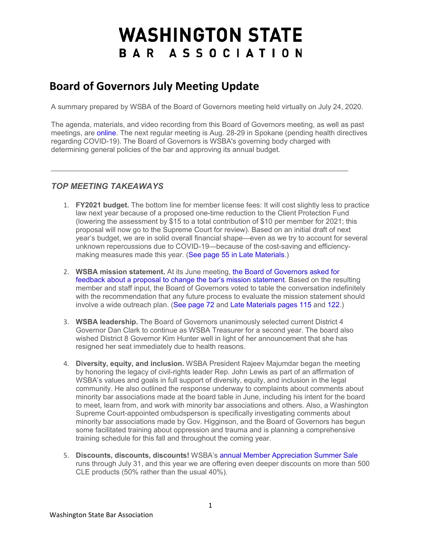## **WASHINGTON STATE** BAR ASSOCIATION

## **Board of Governors July Meeting Update**

A summary prepared by WSBA of the Board of Governors meeting held virtually on July 24, 2020.

The agenda, materials, and video recording from this Board of Governors meeting, as well as past meetings, are [online.](http://wsba.informz.net/z/cjUucD9taT0zMDM0MjU2JnA9MSZ1PTM3NzEzNjQ5MCZsaT0yNDkxNDk4Mg/index.html) The next regular meeting is Aug. 28-29 in Spokane (pending health directives regarding COVID-19). The Board of Governors is WSBA's governing body charged with determining general policies of the bar and approving its annual budget.

 $\mathcal{L}_\mathcal{L} = \{ \mathcal{L}_\mathcal{L} = \{ \mathcal{L}_\mathcal{L} = \{ \mathcal{L}_\mathcal{L} = \{ \mathcal{L}_\mathcal{L} = \{ \mathcal{L}_\mathcal{L} = \{ \mathcal{L}_\mathcal{L} = \{ \mathcal{L}_\mathcal{L} = \{ \mathcal{L}_\mathcal{L} = \{ \mathcal{L}_\mathcal{L} = \{ \mathcal{L}_\mathcal{L} = \{ \mathcal{L}_\mathcal{L} = \{ \mathcal{L}_\mathcal{L} = \{ \mathcal{L}_\mathcal{L} = \{ \mathcal{L}_\mathcal{$ 

## *TOP MEETING TAKEAWAYS*

- 1. **FY2021 budget.** The bottom line for member license fees: It will cost slightly less to practice law next year because of a proposed one-time reduction to the Client Protection Fund (lowering the assessment by \$15 to a total contribution of \$10 per member for 2021; this proposal will now go to the Supreme Court for review). Based on an initial draft of next year's budget, we are in solid overall financial shape—even as we try to account for several unknown repercussions due to COVID-19—because of the cost-saving and efficiencymaking measures made this year. [\(See page 55 in Late Materials.](http://wsba.informz.net/z/cjUucD9taT0zMDM0MjU2JnA9MSZ1PTM3NzEzNjQ5MCZsaT0yNDkxNDk4Ng/index.html))
- 2. **WSBA mission statement.** At its June meeting, [the Board of Governors asked for](http://wsba.informz.net/z/cjUucD9taT0zMDM0MjU2JnA9MSZ1PTM3NzEzNjQ5MCZsaT0yNDkxNDk4Nw/index.html)  [feedback about a proposal to change the bar's mission statement.](http://wsba.informz.net/z/cjUucD9taT0zMDM0MjU2JnA9MSZ1PTM3NzEzNjQ5MCZsaT0yNDkxNDk4Nw/index.html) Based on the resulting member and staff input, the Board of Governors voted to table the conversation indefinitely with the recommendation that any future process to evaluate the mission statement should involve a wide outreach plan. [\(See page 72 a](http://wsba.informz.net/z/cjUucD9taT0zMDM0MjU2JnA9MSZ1PTM3NzEzNjQ5MCZsaT0yNDkxNDk4OA/index.html)nd [Late Materials pages 115](http://wsba.informz.net/z/cjUucD9taT0zMDM0MjU2JnA9MSZ1PTM3NzEzNjQ5MCZsaT0yNDkxNDk4OQ/index.html) and [122.](http://wsba.informz.net/z/cjUucD9taT0zMDM0MjU2JnA9MSZ1PTM3NzEzNjQ5MCZsaT0yNDkxNDk5MA/index.html))
- 3. **WSBA leadership.** The Board of Governors unanimously selected current District 4 Governor Dan Clark to continue as WSBA Treasurer for a second year. The board also wished District 8 Governor Kim Hunter well in light of her announcement that she has resigned her seat immediately due to health reasons.
- 4. **Diversity, equity, and inclusion.** WSBA President Rajeev Majumdar began the meeting by honoring the legacy of civil-rights leader Rep. John Lewis as part of an affirmation of WSBA's values and goals in full support of diversity, equity, and inclusion in the legal community. He also outlined the response underway to complaints about comments about minority bar associations made at the board table in June, including his intent for the board to meet, learn from, and work with minority bar associations and others. Also, a Washington Supreme Court-appointed ombudsperson is specifically investigating comments about minority bar associations made by Gov. Higginson, and the Board of Governors has begun some facilitated training about oppression and trauma and is planning a comprehensive training schedule for this fall and throughout the coming year.
- 5. **Discounts, discounts, discounts!** WSBA's [annual Member Appreciation Summer Sale](http://wsba.informz.net/z/cjUucD9taT0zMDM0MjU2JnA9MSZ1PTM3NzEzNjQ5MCZsaT0yNDkxNDk5MQ/index.html) runs through July 31, and this year we are offering even deeper discounts on more than 500 CLE products (50% rather than the usual 40%).